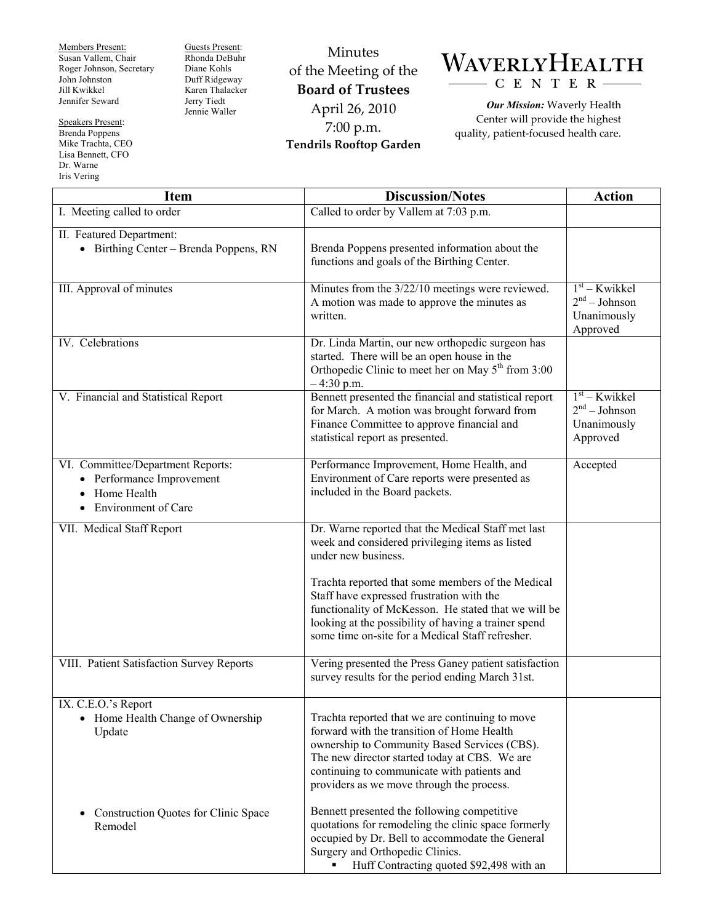Members Present: Susan Vallem, Chair Roger Johnson, Secretary John Johnston Jill Kwikkel Jennifer Seward

Speakers Present: Brenda Poppens Mike Trachta, CEO Lisa Bennett, CFO Dr. Warne Iris Vering

Guests Present: Rhonda DeBuhr Diane Kohls Duff Ridgeway Karen Thalacker Jerry Tiedt Jennie Waller

Minutes of the Meeting of the **Board of Trustees**  April 26, 2010 7:00 p.m. **Tendrils Rooftop Garden** 



*Our Mission:* Waverly Health Center will provide the highest quality, patient-focused health care.

| <b>Item</b>                                                                                                                           | <b>Discussion/Notes</b>                                                                                                                                                                                                                                                                    | <b>Action</b>                                                 |
|---------------------------------------------------------------------------------------------------------------------------------------|--------------------------------------------------------------------------------------------------------------------------------------------------------------------------------------------------------------------------------------------------------------------------------------------|---------------------------------------------------------------|
| I. Meeting called to order                                                                                                            | Called to order by Vallem at 7:03 p.m.                                                                                                                                                                                                                                                     |                                                               |
| II. Featured Department:<br>• Birthing Center - Brenda Poppens, RN                                                                    | Brenda Poppens presented information about the<br>functions and goals of the Birthing Center.                                                                                                                                                                                              |                                                               |
| III. Approval of minutes                                                                                                              | Minutes from the 3/22/10 meetings were reviewed.<br>A motion was made to approve the minutes as<br>written.                                                                                                                                                                                | $1st$ – Kwikkel<br>$2nd - Johnson$<br>Unanimously<br>Approved |
| IV. Celebrations                                                                                                                      | Dr. Linda Martin, our new orthopedic surgeon has<br>started. There will be an open house in the<br>Orthopedic Clinic to meet her on May $5th$ from 3:00<br>$-4:30$ p.m.                                                                                                                    |                                                               |
| V. Financial and Statistical Report                                                                                                   | Bennett presented the financial and statistical report<br>for March. A motion was brought forward from<br>Finance Committee to approve financial and<br>statistical report as presented.                                                                                                   | $1st - Kwikkel$<br>$2nd - Johnson$<br>Unanimously<br>Approved |
| VI. Committee/Department Reports:<br>• Performance Improvement<br>Home Health<br>$\bullet$<br><b>Environment of Care</b><br>$\bullet$ | Performance Improvement, Home Health, and<br>Environment of Care reports were presented as<br>included in the Board packets.                                                                                                                                                               | Accepted                                                      |
| VII. Medical Staff Report                                                                                                             | Dr. Warne reported that the Medical Staff met last<br>week and considered privileging items as listed<br>under new business.                                                                                                                                                               |                                                               |
|                                                                                                                                       | Trachta reported that some members of the Medical<br>Staff have expressed frustration with the<br>functionality of McKesson. He stated that we will be<br>looking at the possibility of having a trainer spend<br>some time on-site for a Medical Staff refresher.                         |                                                               |
| VIII. Patient Satisfaction Survey Reports                                                                                             | Vering presented the Press Ganey patient satisfaction<br>survey results for the period ending March 31st.                                                                                                                                                                                  |                                                               |
| IX. C.E.O.'s Report<br>• Home Health Change of Ownership<br>Update                                                                    | Trachta reported that we are continuing to move<br>forward with the transition of Home Health<br>ownership to Community Based Services (CBS).<br>The new director started today at CBS. We are<br>continuing to communicate with patients and<br>providers as we move through the process. |                                                               |
| <b>Construction Quotes for Clinic Space</b><br>Remodel                                                                                | Bennett presented the following competitive<br>quotations for remodeling the clinic space formerly<br>occupied by Dr. Bell to accommodate the General<br>Surgery and Orthopedic Clinics.<br>Huff Contracting quoted \$92,498 with an                                                       |                                                               |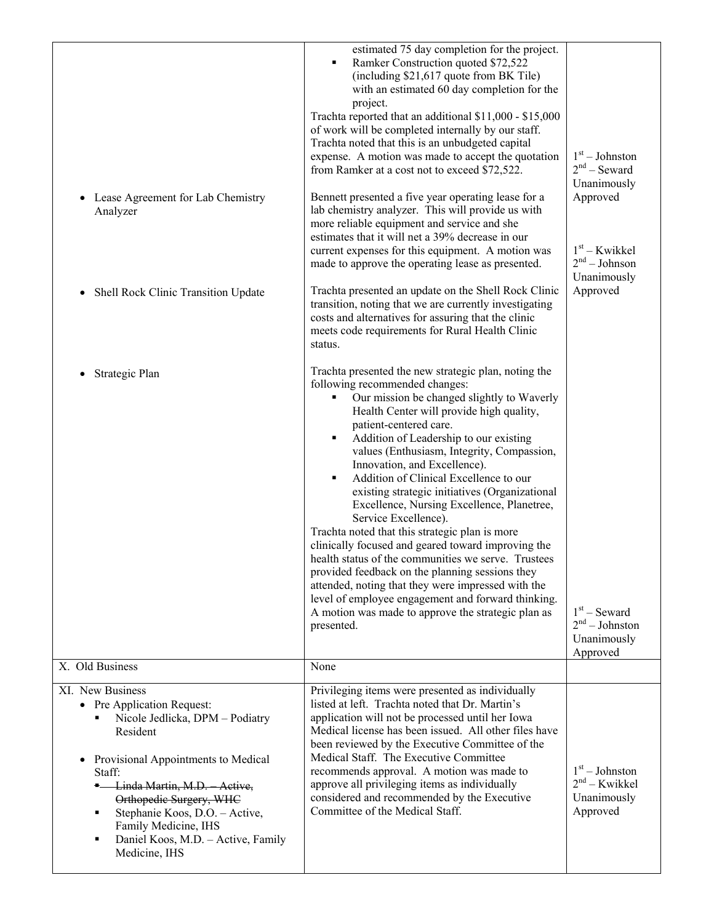| Lease Agreement for Lab Chemistry<br>Analyzer<br>Shell Rock Clinic Transition Update                                                                                                                                                                                                                                            | estimated 75 day completion for the project.<br>Ramker Construction quoted \$72,522<br>(including \$21,617 quote from BK Tile)<br>with an estimated 60 day completion for the<br>project.<br>Trachta reported that an additional \$11,000 - \$15,000<br>of work will be completed internally by our staff.<br>Trachta noted that this is an unbudgeted capital<br>expense. A motion was made to accept the quotation<br>from Ramker at a cost not to exceed \$72,522.<br>Bennett presented a five year operating lease for a<br>lab chemistry analyzer. This will provide us with<br>more reliable equipment and service and she<br>estimates that it will net a 39% decrease in our<br>current expenses for this equipment. A motion was<br>made to approve the operating lease as presented.<br>Trachta presented an update on the Shell Rock Clinic<br>transition, noting that we are currently investigating | $1st - Johnston$<br>$2nd$ – Seward<br>Unanimously<br>Approved<br>$1st$ – Kwikkel<br>$2nd - Johnson$<br>Unanimously<br>Approved |
|---------------------------------------------------------------------------------------------------------------------------------------------------------------------------------------------------------------------------------------------------------------------------------------------------------------------------------|------------------------------------------------------------------------------------------------------------------------------------------------------------------------------------------------------------------------------------------------------------------------------------------------------------------------------------------------------------------------------------------------------------------------------------------------------------------------------------------------------------------------------------------------------------------------------------------------------------------------------------------------------------------------------------------------------------------------------------------------------------------------------------------------------------------------------------------------------------------------------------------------------------------|--------------------------------------------------------------------------------------------------------------------------------|
|                                                                                                                                                                                                                                                                                                                                 | costs and alternatives for assuring that the clinic<br>meets code requirements for Rural Health Clinic<br>status.                                                                                                                                                                                                                                                                                                                                                                                                                                                                                                                                                                                                                                                                                                                                                                                                |                                                                                                                                |
| Strategic Plan                                                                                                                                                                                                                                                                                                                  | Trachta presented the new strategic plan, noting the<br>following recommended changes:<br>Our mission be changed slightly to Waverly<br>Health Center will provide high quality,<br>patient-centered care.<br>Addition of Leadership to our existing<br>values (Enthusiasm, Integrity, Compassion,<br>Innovation, and Excellence).<br>Addition of Clinical Excellence to our<br>٠<br>existing strategic initiatives (Organizational<br>Excellence, Nursing Excellence, Planetree,<br>Service Excellence).<br>Trachta noted that this strategic plan is more<br>clinically focused and geared toward improving the<br>health status of the communities we serve. Trustees<br>provided feedback on the planning sessions they<br>attended, noting that they were impressed with the<br>level of employee engagement and forward thinking.<br>A motion was made to approve the strategic plan as<br>presented.      | $1st$ – Seward<br>$2nd - Johnston$<br>Unanimously<br>Approved                                                                  |
| X. Old Business                                                                                                                                                                                                                                                                                                                 | None                                                                                                                                                                                                                                                                                                                                                                                                                                                                                                                                                                                                                                                                                                                                                                                                                                                                                                             |                                                                                                                                |
| XI. New Business<br>• Pre Application Request:<br>Nicole Jedlicka, DPM - Podiatry<br>Resident<br>Provisional Appointments to Medical<br>Staff:<br>- Linda Martin, M.D. Active,<br>Orthopedic Surgery, WHC<br>Stephanie Koos, D.O. - Active,<br>Family Medicine, IHS<br>Daniel Koos, M.D. - Active, Family<br>٠<br>Medicine, IHS | Privileging items were presented as individually<br>listed at left. Trachta noted that Dr. Martin's<br>application will not be processed until her Iowa<br>Medical license has been issued. All other files have<br>been reviewed by the Executive Committee of the<br>Medical Staff. The Executive Committee<br>recommends approval. A motion was made to<br>approve all privileging items as individually<br>considered and recommended by the Executive<br>Committee of the Medical Staff.                                                                                                                                                                                                                                                                                                                                                                                                                    | $1st - Johnston$<br>$2nd - Kwikkel$<br>Unanimously<br>Approved                                                                 |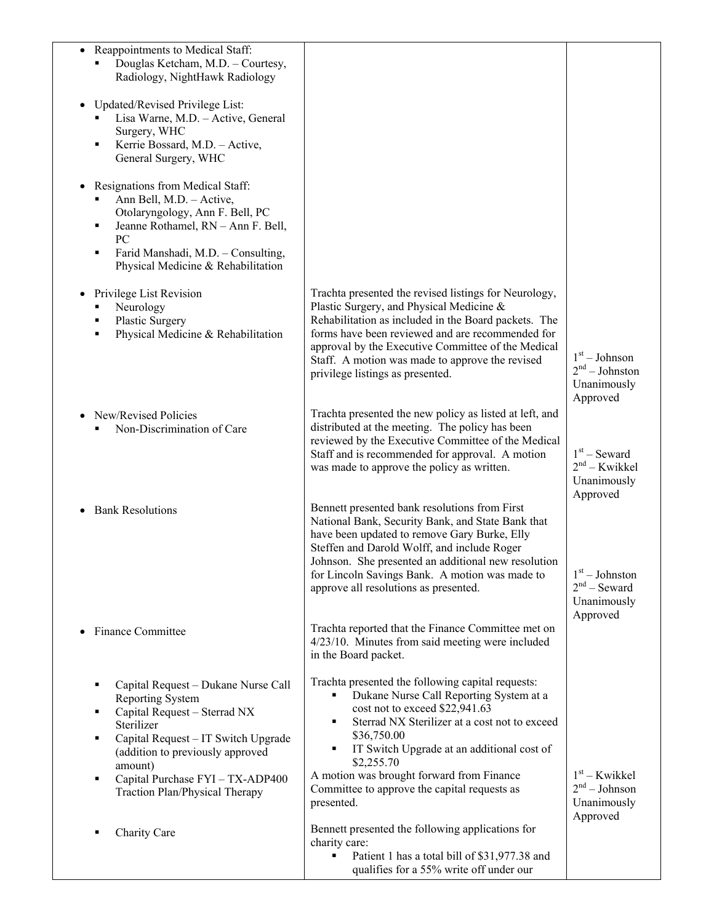| Reappointments to Medical Staff:<br>$\bullet$<br>Douglas Ketcham, M.D. - Courtesy,<br>Radiology, NightHawk Radiology<br>Updated/Revised Privilege List:<br>Lisa Warne, M.D. - Active, General<br>Surgery, WHC<br>Kerrie Bossard, M.D. - Active,<br>General Surgery, WHC<br>Resignations from Medical Staff:<br>Ann Bell, M.D. - Active,<br>Otolaryngology, Ann F. Bell, PC<br>Jeanne Rothamel, RN - Ann F. Bell,<br>٠<br>PC<br>Farid Manshadi, M.D. - Consulting,<br>٠<br>Physical Medicine & Rehabilitation |                                                                                                                                                                                                                                                                                                                                                                                 |                                                                |
|--------------------------------------------------------------------------------------------------------------------------------------------------------------------------------------------------------------------------------------------------------------------------------------------------------------------------------------------------------------------------------------------------------------------------------------------------------------------------------------------------------------|---------------------------------------------------------------------------------------------------------------------------------------------------------------------------------------------------------------------------------------------------------------------------------------------------------------------------------------------------------------------------------|----------------------------------------------------------------|
| Privilege List Revision<br>Neurology<br>Plastic Surgery<br>Physical Medicine & Rehabilitation                                                                                                                                                                                                                                                                                                                                                                                                                | Trachta presented the revised listings for Neurology,<br>Plastic Surgery, and Physical Medicine &<br>Rehabilitation as included in the Board packets. The<br>forms have been reviewed and are recommended for<br>approval by the Executive Committee of the Medical<br>Staff. A motion was made to approve the revised<br>privilege listings as presented.                      | $1st - Johnson$<br>$2nd - Johnston$<br>Unanimously<br>Approved |
| New/Revised Policies<br>Non-Discrimination of Care<br>٠                                                                                                                                                                                                                                                                                                                                                                                                                                                      | Trachta presented the new policy as listed at left, and<br>distributed at the meeting. The policy has been<br>reviewed by the Executive Committee of the Medical<br>Staff and is recommended for approval. A motion<br>was made to approve the policy as written.                                                                                                               | $1st$ – Seward<br>$2nd - Kwikkel$<br>Unanimously<br>Approved   |
| <b>Bank Resolutions</b>                                                                                                                                                                                                                                                                                                                                                                                                                                                                                      | Bennett presented bank resolutions from First<br>National Bank, Security Bank, and State Bank that<br>have been updated to remove Gary Burke, Elly<br>Steffen and Darold Wolff, and include Roger<br>Johnson. She presented an additional new resolution<br>for Lincoln Savings Bank. A motion was made to<br>approve all resolutions as presented.                             | $1st - Johnston$<br>$2nd$ – Seward<br>Unanimously<br>Approved  |
| <b>Finance Committee</b>                                                                                                                                                                                                                                                                                                                                                                                                                                                                                     | Trachta reported that the Finance Committee met on<br>4/23/10. Minutes from said meeting were included<br>in the Board packet.                                                                                                                                                                                                                                                  |                                                                |
| Capital Request - Dukane Nurse Call<br>Reporting System<br>Capital Request - Sterrad NX<br>٠<br>Sterilizer<br>Capital Request - IT Switch Upgrade<br>٠<br>(addition to previously approved<br>amount)<br>Capital Purchase FYI - TX-ADP400<br>٠<br>Traction Plan/Physical Therapy                                                                                                                                                                                                                             | Trachta presented the following capital requests:<br>Dukane Nurse Call Reporting System at a<br>cost not to exceed \$22,941.63<br>Sterrad NX Sterilizer at a cost not to exceed<br>٠<br>\$36,750.00<br>IT Switch Upgrade at an additional cost of<br>٠<br>\$2,255.70<br>A motion was brought forward from Finance<br>Committee to approve the capital requests as<br>presented. | $1st$ – Kwikkel<br>$2nd - Johnson$<br>Unanimously<br>Approved  |
| Charity Care                                                                                                                                                                                                                                                                                                                                                                                                                                                                                                 | Bennett presented the following applications for<br>charity care:<br>Patient 1 has a total bill of \$31,977.38 and<br>$\blacksquare$<br>qualifies for a 55% write off under our                                                                                                                                                                                                 |                                                                |